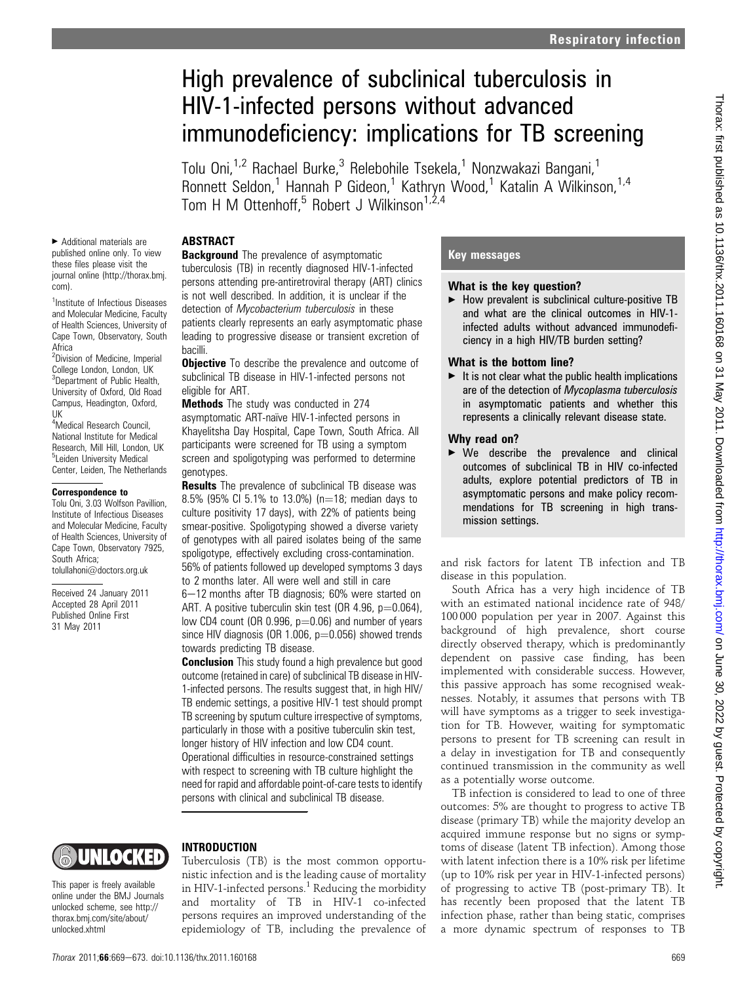# High prevalence of subclinical tuberculosis in HIV-1-infected persons without advanced immunodeficiency: implications for TB screening

Tolu Oni,<sup>1,2</sup> Rachael Burke,<sup>3</sup> Relebohile Tsekela,<sup>1</sup> Nonzwakazi Bangani,<sup>1</sup> Ronnett Seldon,<sup>1</sup> Hannah P Gideon,<sup>1</sup> Kathryn Wood,<sup>1</sup> Katalin A Wilkinson,<sup>1,4</sup> Tom H M Ottenhoff,<sup>5</sup> Robert J Wilkinson<sup>1,2,4</sup>

## ABSTRACT

< Additional materials are published online only. To view these files please visit the journal online (http://thorax.bmj. com).

<sup>1</sup>Institute of Infectious Diseases and Molecular Medicine, Faculty of Health Sciences, University of Cape Town, Observatory, South Africa

<sup>2</sup>Division of Medicine, Imperial College London, London, UK <sup>3</sup>Department of Public Health, University of Oxford, Old Road Campus, Headington, Oxford, UK

4 Medical Research Council, National Institute for Medical Research, Mill Hill, London, UK <sup>5</sup>Leiden University Medical Center, Leiden, The Netherlands

#### Correspondence to

Tolu Oni, 3.03 Wolfson Pavillion, Institute of Infectious Diseases and Molecular Medicine, Faculty of Health Sciences, University of Cape Town, Observatory 7925, South Africa; tolullahoni@doctors.org.uk

Received 24 January 2011 Accepted 28 April 2011 Published Online First 31 May 2011

**Background** The prevalence of asymptomatic tuberculosis (TB) in recently diagnosed HIV-1-infected persons attending pre-antiretroviral therapy (ART) clinics is not well described. In addition, it is unclear if the detection of Mycobacterium tuberculosis in these patients clearly represents an early asymptomatic phase leading to progressive disease or transient excretion of bacilli.

**Objective** To describe the prevalence and outcome of subclinical TB disease in HIV-1-infected persons not eligible for ART.

Methods The study was conducted in 274 asymptomatic ART-naïve HIV-1-infected persons in Khayelitsha Day Hospital, Cape Town, South Africa. All participants were screened for TB using a symptom screen and spoligotyping was performed to determine genotypes.

**Results** The prevalence of subclinical TB disease was 8.5% (95% CI 5.1% to 13.0%) (n=18; median days to culture positivity 17 days), with 22% of patients being smear-positive. Spoligotyping showed a diverse variety of genotypes with all paired isolates being of the same spoligotype, effectively excluding cross-contamination. 56% of patients followed up developed symptoms 3 days

to 2 months later. All were well and still in care

6-12 months after TB diagnosis; 60% were started on ART. A positive tuberculin skin test (OR 4.96,  $p=0.064$ ), low CD4 count (OR 0.996,  $p=0.06$ ) and number of years since HIV diagnosis (OR 1.006,  $p=0.056$ ) showed trends towards predicting TB disease.

**Conclusion** This study found a high prevalence but good outcome (retained in care) of subclinical TB disease in HIV-1-infected persons. The results suggest that, in high HIV/ TB endemic settings, a positive HIV-1 test should prompt TB screening by sputum culture irrespective of symptoms, particularly in those with a positive tuberculin skin test, longer history of HIV infection and low CD4 count. Operational difficulties in resource-constrained settings with respect to screening with TB culture highlight the need for rapid and affordable point-of-care tests to identify persons with clinical and subclinical TB disease.

# UNIOCKED

This paper is freely available online under the BMJ Journals unlocked scheme, see http:// thorax.bmj.com/site/about/ unlocked.xhtml

## INTRODUCTION

Tuberculosis (TB) is the most common opportunistic infection and is the leading cause of mortality in HIV-1-infected persons.<sup>1</sup> Reducing the morbidity and mortality of TB in HIV-1 co-infected persons requires an improved understanding of the epidemiology of TB, including the prevalence of

## Key messages

#### What is the key question?

 $\blacktriangleright$  How prevalent is subclinical culture-positive TB and what are the clinical outcomes in HIV-1 infected adults without advanced immunodeficiency in a high HIV/TB burden setting?

#### What is the bottom line?

 $\blacktriangleright$  It is not clear what the public health implications are of the detection of Mycoplasma tuberculosis in asymptomatic patients and whether this represents a clinically relevant disease state.

#### Why read on?

 $\triangleright$  We describe the prevalence and clinical outcomes of subclinical TB in HIV co-infected adults, explore potential predictors of TB in asymptomatic persons and make policy recommendations for TB screening in high transmission settings.

and risk factors for latent TB infection and TB disease in this population.

South Africa has a very high incidence of TB with an estimated national incidence rate of 948/ 100 000 population per year in 2007. Against this background of high prevalence, short course directly observed therapy, which is predominantly dependent on passive case finding, has been implemented with considerable success. However, this passive approach has some recognised weaknesses. Notably, it assumes that persons with TB will have symptoms as a trigger to seek investigation for TB. However, waiting for symptomatic persons to present for TB screening can result in a delay in investigation for TB and consequently continued transmission in the community as well as a potentially worse outcome.

TB infection is considered to lead to one of three outcomes: 5% are thought to progress to active TB disease (primary TB) while the majority develop an acquired immune response but no signs or symptoms of disease (latent TB infection). Among those with latent infection there is a 10% risk per lifetime (up to 10% risk per year in HIV-1-infected persons) of progressing to active TB (post-primary TB). It has recently been proposed that the latent TB infection phase, rather than being static, comprises a more dynamic spectrum of responses to TB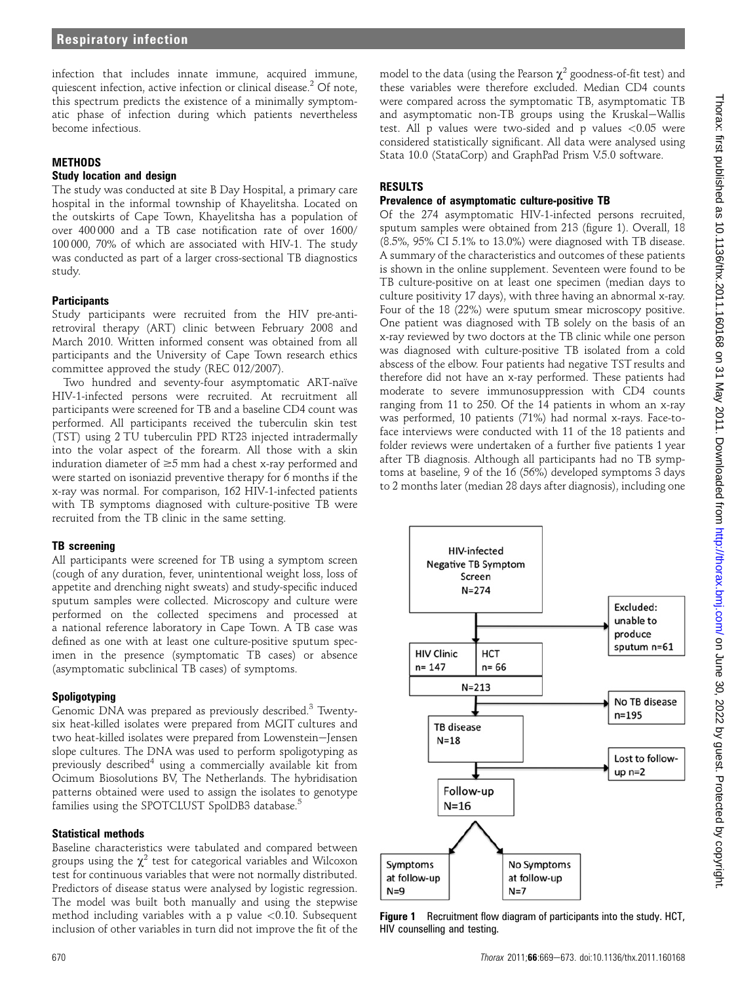infection that includes innate immune, acquired immune, quiescent infection, active infection or clinical disease.<sup>2</sup> Of note, this spectrum predicts the existence of a minimally symptomatic phase of infection during which patients nevertheless become infectious.

#### **METHODS**

#### Study location and design

The study was conducted at site B Day Hospital, a primary care hospital in the informal township of Khayelitsha. Located on the outskirts of Cape Town, Khayelitsha has a population of over 400 000 and a TB case notification rate of over 1600/ 100 000, 70% of which are associated with HIV-1. The study was conducted as part of a larger cross-sectional TB diagnostics study.

## **Participants**

Study participants were recruited from the HIV pre-antiretroviral therapy (ART) clinic between February 2008 and March 2010. Written informed consent was obtained from all participants and the University of Cape Town research ethics committee approved the study (REC 012/2007).

Two hundred and seventy-four asymptomatic ART-naïve HIV-1-infected persons were recruited. At recruitment all participants were screened for TB and a baseline CD4 count was performed. All participants received the tuberculin skin test (TST) using 2 TU tuberculin PPD RT23 injected intradermally into the volar aspect of the forearm. All those with a skin induration diameter of  $\geq$ 5 mm had a chest x-ray performed and were started on isoniazid preventive therapy for 6 months if the x-ray was normal. For comparison, 162 HIV-1-infected patients with TB symptoms diagnosed with culture-positive TB were recruited from the TB clinic in the same setting.

## TB screening

All participants were screened for TB using a symptom screen (cough of any duration, fever, unintentional weight loss, loss of appetite and drenching night sweats) and study-specific induced sputum samples were collected. Microscopy and culture were performed on the collected specimens and processed at a national reference laboratory in Cape Town. A TB case was defined as one with at least one culture-positive sputum specimen in the presence (symptomatic TB cases) or absence (asymptomatic subclinical TB cases) of symptoms.

## Spoligotyping

Genomic DNA was prepared as previously described.<sup>3</sup> Twentysix heat-killed isolates were prepared from MGIT cultures and two heat-killed isolates were prepared from Lowenstein-Jensen slope cultures. The DNA was used to perform spoligotyping as previously described<sup>4</sup> using a commercially available kit from Ocimum Biosolutions BV, The Netherlands. The hybridisation patterns obtained were used to assign the isolates to genotype families using the SPOTCLUST SpolDB3 database.<sup>5</sup>

## Statistical methods

Baseline characteristics were tabulated and compared between groups using the  $\chi^2$  test for categorical variables and Wilcoxon test for continuous variables that were not normally distributed. Predictors of disease status were analysed by logistic regression. The model was built both manually and using the stepwise method including variables with a p value  $\langle 0.10$ . Subsequent inclusion of other variables in turn did not improve the fit of the

model to the data (using the Pearson  $\chi^2$  goodness-of-fit test) and these variables were therefore excluded. Median CD4 counts were compared across the symptomatic TB, asymptomatic TB and asymptomatic non-TB groups using the Kruskal-Wallis test. All p values were two-sided and p values <0.05 were considered statistically significant. All data were analysed using Stata 10.0 (StataCorp) and GraphPad Prism V.5.0 software.

## RESULTS

## Prevalence of asymptomatic culture-positive TB

Of the 274 asymptomatic HIV-1-infected persons recruited, sputum samples were obtained from 213 (figure 1). Overall, 18 (8.5%, 95% CI 5.1% to 13.0%) were diagnosed with TB disease. A summary of the characteristics and outcomes of these patients is shown in the online supplement. Seventeen were found to be TB culture-positive on at least one specimen (median days to culture positivity 17 days), with three having an abnormal x-ray. Four of the 18 (22%) were sputum smear microscopy positive. One patient was diagnosed with TB solely on the basis of an x-ray reviewed by two doctors at the TB clinic while one person was diagnosed with culture-positive TB isolated from a cold abscess of the elbow. Four patients had negative TST results and therefore did not have an x-ray performed. These patients had moderate to severe immunosuppression with CD4 counts ranging from 11 to 250. Of the 14 patients in whom an x-ray was performed, 10 patients (71%) had normal x-rays. Face-toface interviews were conducted with 11 of the 18 patients and folder reviews were undertaken of a further five patients 1 year after TB diagnosis. Although all participants had no TB symptoms at baseline, 9 of the 16 (56%) developed symptoms 3 days to 2 months later (median 28 days after diagnosis), including one



**Figure 1** Recruitment flow diagram of participants into the study. HCT, HIV counselling and testing.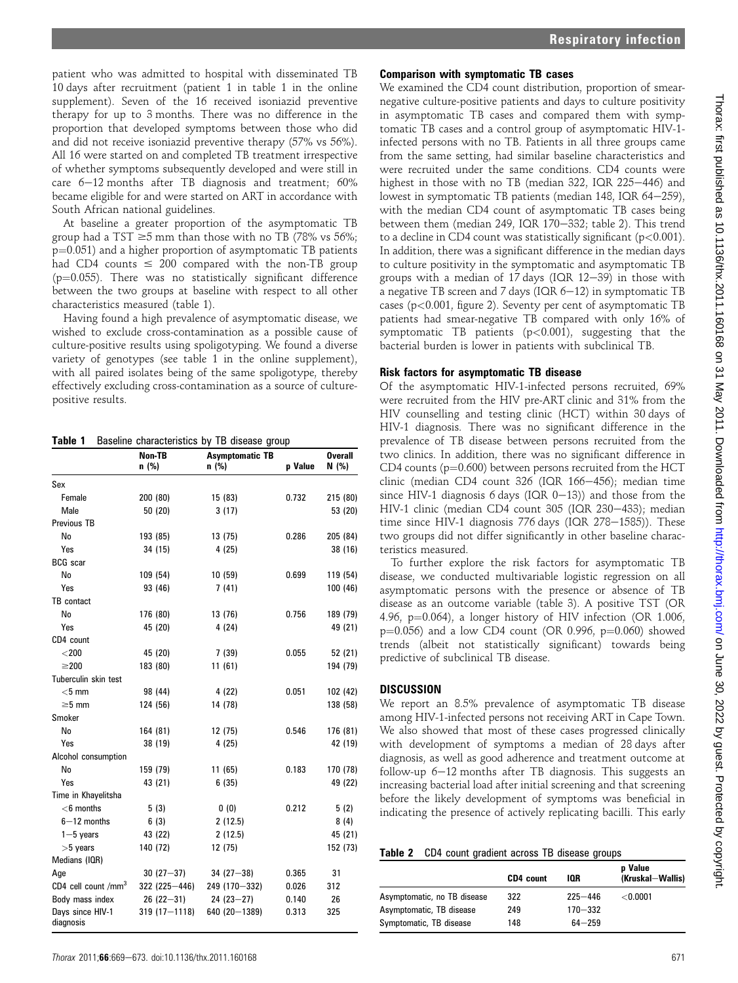patient who was admitted to hospital with disseminated TB 10 days after recruitment (patient 1 in table 1 in the online supplement). Seven of the 16 received isoniazid preventive therapy for up to 3 months. There was no difference in the proportion that developed symptoms between those who did and did not receive isoniazid preventive therapy (57% vs 56%). All 16 were started on and completed TB treatment irrespective of whether symptoms subsequently developed and were still in care  $6-12$  months after TB diagnosis and treatment;  $60\%$ became eligible for and were started on ART in accordance with South African national guidelines.

At baseline a greater proportion of the asymptomatic TB group had a TST  $\geq$ 5 mm than those with no TB (78% vs 56%;  $p=0.051$ ) and a higher proportion of asymptomatic TB patients had CD4 counts  $\leq 200$  compared with the non-TB group  $(p=0.055)$ . There was no statistically significant difference between the two groups at baseline with respect to all other characteristics measured (table 1).

Having found a high prevalence of asymptomatic disease, we wished to exclude cross-contamination as a possible cause of culture-positive results using spoligotyping. We found a diverse variety of genotypes (see table 1 in the online supplement), with all paired isolates being of the same spoligotype, thereby effectively excluding cross-contamination as a source of culturepositive results.

Table 1 Baseline characteristics by TB disease group

|                               | Non-TB<br><b>Asymptomatic TB</b> |                 |         | <b>Overall</b> |
|-------------------------------|----------------------------------|-----------------|---------|----------------|
|                               | n (%)                            | $n$ (%)         | p Value | N(% )          |
| Sex                           |                                  |                 |         |                |
| Female                        | 200 (80)                         | 15 (83)         | 0.732   | 215 (80)       |
| Male                          | 50 (20)                          | 3(17)           |         | 53 (20)        |
| Previous TB                   |                                  |                 |         |                |
| No                            | 193 (85)                         | 13 (75)         | 0.286   | 205 (84)       |
| Yes                           | 34 (15)                          | 4(25)           |         | 38 (16)        |
| <b>BCG</b> scar               |                                  |                 |         |                |
| No                            | 109 (54)                         | 10(59)          | 0.699   | 119 (54)       |
| Yes                           | 93 (46)                          | 7(41)           |         | 100 (46)       |
| TB contact                    |                                  |                 |         |                |
| No                            | 176 (80)                         | 13 (76)         | 0.756   | 189 (79)       |
| Yes                           | 45 (20)                          | 4(24)           |         | 49 (21)        |
| CD4 count                     |                                  |                 |         |                |
| $<$ 200                       | 45 (20)                          | 7(39)           | 0.055   | 52 (21)        |
| $\geq$ 200                    | 183 (80)                         | 11(61)          |         | 194 (79)       |
| Tuberculin skin test          |                                  |                 |         |                |
| $<$ 5 mm                      | 98 (44)                          | 4 (22)          | 0.051   | 102 (42)       |
| $\geq 5$ mm                   | 124 (56)                         | 14 (78)         |         | 138 (58)       |
| Smoker                        |                                  |                 |         |                |
| No                            | 164 (81)                         | 12 (75)         | 0.546   | 176 (81)       |
| Yes                           | 38 (19)                          | 4(25)           |         | 42 (19)        |
| Alcohol consumption           |                                  |                 |         |                |
| No                            | 159 (79)                         | 11(65)          | 0.183   | 170 (78)       |
| Yes                           | 43 (21)                          | 6(35)           |         | 49 (22)        |
| Time in Khayelitsha           |                                  |                 |         |                |
| $<$ 6 months                  | 5(3)                             | 0(0)            | 0.212   | 5(2)           |
| $6 - 12$ months               | 6(3)                             | 2(12.5)         |         | 8(4)           |
| $1 - 5$ years                 | 43 (22)                          | 2(12.5)         |         | 45 (21)        |
| $>5$ years                    | 140 (72)                         | 12 (75)         |         | 152 (73)       |
| Medians (IQR)                 |                                  |                 |         |                |
| Age                           | $30(27 - 37)$                    | $34(27 - 38)$   | 0.365   | 31             |
| CD4 cell count / $mm3$        | 322 (225-446)                    | 249 (170-332)   | 0.026   | 312            |
| Body mass index               | $26(22-31)$                      | $24(23 - 27)$   | 0.140   | 26             |
| Days since HIV-1<br>diagnosis | $319(17 - 1118)$                 | 640 (20 - 1389) | 0.313   | 325            |

#### Comparison with symptomatic TB cases

We examined the CD4 count distribution, proportion of smearnegative culture-positive patients and days to culture positivity in asymptomatic TB cases and compared them with symptomatic TB cases and a control group of asymptomatic HIV-1 infected persons with no TB. Patients in all three groups came from the same setting, had similar baseline characteristics and were recruited under the same conditions. CD4 counts were highest in those with no TB (median 322, IQR  $225-446$ ) and lowest in symptomatic TB patients (median 148, IQR 64-259), with the median CD4 count of asymptomatic TB cases being between them (median 249, IQR 170-332; table 2). This trend to a decline in CD4 count was statistically significant ( $p$ <0.001). In addition, there was a significant difference in the median days to culture positivity in the symptomatic and asymptomatic TB groups with a median of 17 days (IQR  $12-39$ ) in those with a negative TB screen and 7 days (IQR  $6-12$ ) in symptomatic TB cases (p<0.001, figure 2). Seventy per cent of asymptomatic TB patients had smear-negative TB compared with only 16% of symptomatic TB patients (p<0.001), suggesting that the bacterial burden is lower in patients with subclinical TB.

#### Risk factors for asymptomatic TB disease

Of the asymptomatic HIV-1-infected persons recruited, 69% were recruited from the HIV pre-ART clinic and 31% from the HIV counselling and testing clinic (HCT) within 30 days of HIV-1 diagnosis. There was no significant difference in the prevalence of TB disease between persons recruited from the two clinics. In addition, there was no significant difference in CD4 counts ( $p=0.600$ ) between persons recruited from the HCT clinic (median CD4 count  $326$  (IQR  $166-456$ ); median time since HIV-1 diagnosis 6 days (IQR  $0-13$ )) and those from the HIV-1 clinic (median CD4 count 305 (IQR 230-433); median time since HIV-1 diagnosis 776 days (IQR  $278-1585$ )). These two groups did not differ significantly in other baseline characteristics measured.

To further explore the risk factors for asymptomatic TB disease, we conducted multivariable logistic regression on all asymptomatic persons with the presence or absence of TB disease as an outcome variable (table 3). A positive TST (OR 4.96,  $p=0.064$ ), a longer history of HIV infection (OR 1.006,  $p=0.056$ ) and a low CD4 count (OR 0.996,  $p=0.060$ ) showed trends (albeit not statistically significant) towards being predictive of subclinical TB disease.

#### DISCUSSION

We report an 8.5% prevalence of asymptomatic TB disease among HIV-1-infected persons not receiving ART in Cape Town. We also showed that most of these cases progressed clinically with development of symptoms a median of 28 days after diagnosis, as well as good adherence and treatment outcome at follow-up  $6-12$  months after TB diagnosis. This suggests an increasing bacterial load after initial screening and that screening before the likely development of symptoms was beneficial in indicating the presence of actively replicating bacilli. This early

|  |  | Table 2 CD4 count gradient across TB disease groups |  |  |
|--|--|-----------------------------------------------------|--|--|
|--|--|-----------------------------------------------------|--|--|

|                             | CD4 count | IOR         | p Value<br>(Kruskal-Wallis) |
|-----------------------------|-----------|-------------|-----------------------------|
| Asymptomatic, no TB disease | 322       | $225 - 446$ | $<$ 0.0001 $\,$             |
| Asymptomatic, TB disease    | 249       | $170 - 332$ |                             |
| Symptomatic, TB disease     | 148       | $64 - 259$  |                             |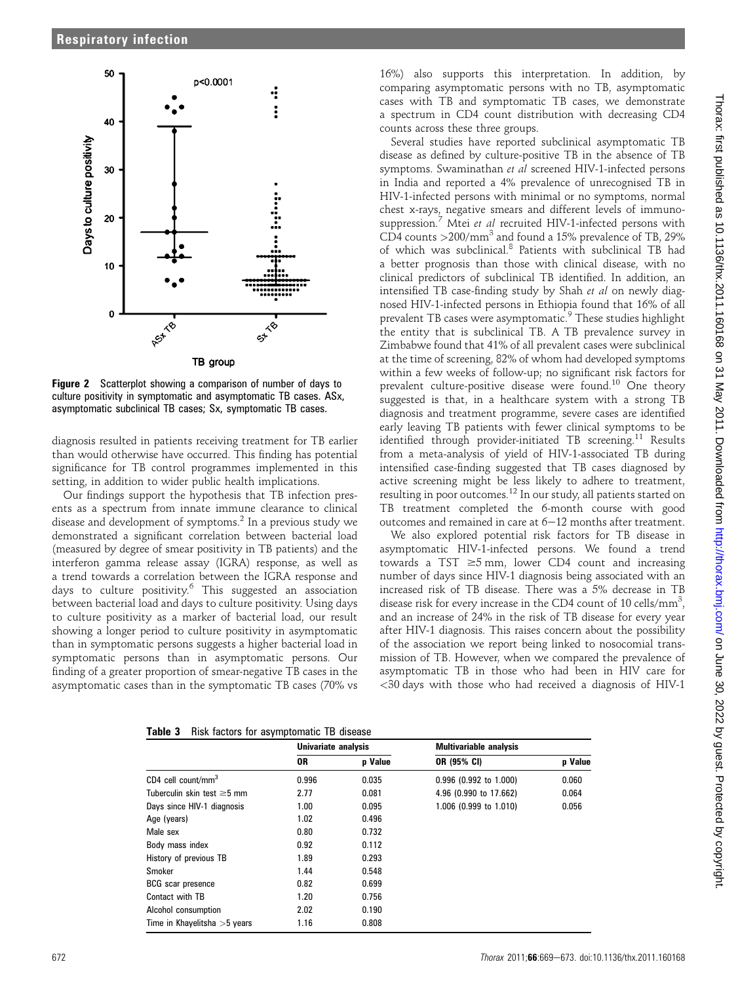

Figure 2 Scatterplot showing a comparison of number of days to culture positivity in symptomatic and asymptomatic TB cases. ASx, asymptomatic subclinical TB cases; Sx, symptomatic TB cases.

diagnosis resulted in patients receiving treatment for TB earlier than would otherwise have occurred. This finding has potential significance for TB control programmes implemented in this setting, in addition to wider public health implications.

Our findings support the hypothesis that TB infection presents as a spectrum from innate immune clearance to clinical disease and development of symptoms.<sup>2</sup> In a previous study we demonstrated a significant correlation between bacterial load (measured by degree of smear positivity in TB patients) and the interferon gamma release assay (IGRA) response, as well as a trend towards a correlation between the IGRA response and days to culture positivity.<sup>6</sup> This suggested an association between bacterial load and days to culture positivity. Using days to culture positivity as a marker of bacterial load, our result showing a longer period to culture positivity in asymptomatic than in symptomatic persons suggests a higher bacterial load in symptomatic persons than in asymptomatic persons. Our finding of a greater proportion of smear-negative TB cases in the asymptomatic cases than in the symptomatic TB cases (70% vs

16%) also supports this interpretation. In addition, by comparing asymptomatic persons with no TB, asymptomatic cases with TB and symptomatic TB cases, we demonstrate a spectrum in CD4 count distribution with decreasing CD4 counts across these three groups.

Several studies have reported subclinical asymptomatic TB disease as defined by culture-positive TB in the absence of TB symptoms. Swaminathan et al screened HIV-1-infected persons in India and reported a 4% prevalence of unrecognised TB in HIV-1-infected persons with minimal or no symptoms, normal chest x-rays, negative smears and different levels of immunosuppression.<sup>7</sup> Mtei et al recruited HIV-1-infected persons with CD4 counts  $>$  200/mm<sup>3</sup> and found a 15% prevalence of TB, 29% of which was subclinical.<sup>8</sup> Patients with subclinical TB had a better prognosis than those with clinical disease, with no clinical predictors of subclinical TB identified. In addition, an intensified TB case-finding study by Shah et al on newly diagnosed HIV-1-infected persons in Ethiopia found that 16% of all prevalent TB cases were asymptomatic.<sup>9</sup> These studies highlight the entity that is subclinical TB. A TB prevalence survey in Zimbabwe found that 41% of all prevalent cases were subclinical at the time of screening, 82% of whom had developed symptoms within a few weeks of follow-up; no significant risk factors for prevalent culture-positive disease were found.<sup>10</sup> One theory suggested is that, in a healthcare system with a strong TB diagnosis and treatment programme, severe cases are identified early leaving TB patients with fewer clinical symptoms to be identified through provider-initiated TB screening.<sup>11</sup> Results from a meta-analysis of yield of HIV-1-associated TB during intensified case-finding suggested that TB cases diagnosed by active screening might be less likely to adhere to treatment, resulting in poor outcomes.<sup>12</sup> In our study, all patients started on TB treatment completed the 6-month course with good outcomes and remained in care at  $6-12$  months after treatment.

We also explored potential risk factors for TB disease in asymptomatic HIV-1-infected persons. We found a trend towards a TST  $\geq 5$  mm, lower CD4 count and increasing number of days since HIV-1 diagnosis being associated with an increased risk of TB disease. There was a 5% decrease in TB disease risk for every increase in the CD4 count of 10 cells/mm<sup>3</sup>, and an increase of 24% in the risk of TB disease for every year after HIV-1 diagnosis. This raises concern about the possibility of the association we report being linked to nosocomial transmission of TB. However, when we compared the prevalence of asymptomatic TB in those who had been in HIV care for <30 days with those who had received a diagnosis of HIV-1

|  |  |  |  | Table 3 Risk factors for asymptomatic TB disease |  |  |
|--|--|--|--|--------------------------------------------------|--|--|
|--|--|--|--|--------------------------------------------------|--|--|

|                                  | Univariate analysis |         | <b>Multivariable analysis</b> |         |  |
|----------------------------------|---------------------|---------|-------------------------------|---------|--|
|                                  | 0R                  | p Value | OR (95% CI)                   | p Value |  |
| $CD4$ cell count/mm <sup>3</sup> | 0.996               | 0.035   | 0.996 (0.992 to 1.000)        | 0.060   |  |
| Tuberculin skin test $\geq$ 5 mm | 2.77                | 0.081   | 4.96 (0.990 to 17.662)        | 0.064   |  |
| Days since HIV-1 diagnosis       | 1.00                | 0.095   | 1.006 (0.999 to 1.010)        | 0.056   |  |
| Age (years)                      | 1.02                | 0.496   |                               |         |  |
| Male sex                         | 0.80                | 0.732   |                               |         |  |
| Body mass index                  | 0.92                | 0.112   |                               |         |  |
| History of previous TB           | 1.89                | 0.293   |                               |         |  |
| Smoker                           | 1.44                | 0.548   |                               |         |  |
| <b>BCG</b> scar presence         | 0.82                | 0.699   |                               |         |  |
| Contact with TB                  | 1.20                | 0.756   |                               |         |  |
| Alcohol consumption              | 2.02                | 0.190   |                               |         |  |
| Time in Khayelitsha $>5$ years   | 1.16                | 0.808   |                               |         |  |